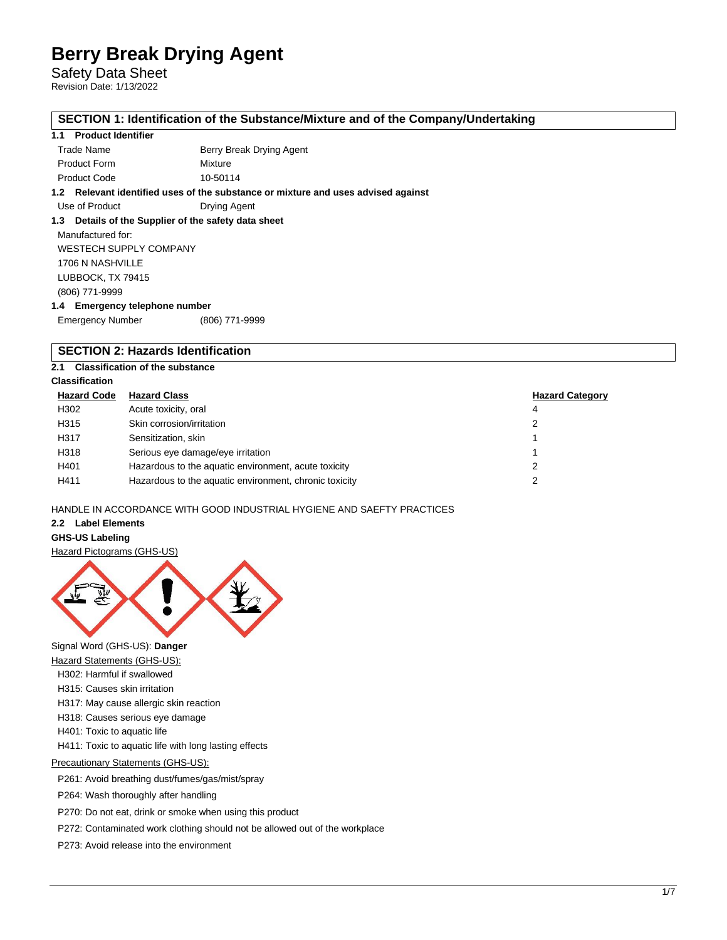Safety Data Sheet Revision Date: 1/13/2022

### **SECTION 1: Identification of the Substance/Mixture and of the Company/Undertaking**

### **1.1 Product Identifier**

Trade Name **Berry Break Drying Agent** 

Product Form Mixture Product Code 10-50114

**1.2 Relevant identified uses of the substance or mixture and uses advised against**

Use of Product Drying Agent

# **1.3 Details of the Supplier of the safety data sheet**

Manufactured for: WESTECH SUPPLY COMPANY 1706 N NASHVILLE LUBBOCK, TX 79415 (806) 771-9999 **1.4 Emergency telephone number**

Emergency Number (806) 771-9999

# **SECTION 2: Hazards Identification**

# **2.1 Classification of the substance**

# **Classification**

| <b>Hazard Code</b> | <b>Hazard Class</b>                                    | <b>Hazard Category</b> |
|--------------------|--------------------------------------------------------|------------------------|
| H302               | Acute toxicity, oral                                   | 4                      |
| H315               | Skin corrosion/irritation                              |                        |
| H317               | Sensitization, skin                                    |                        |
| H318               | Serious eye damage/eye irritation                      |                        |
| H401               | Hazardous to the aquatic environment, acute toxicity   |                        |
| H411               | Hazardous to the aquatic environment, chronic toxicity |                        |

# HANDLE IN ACCORDANCE WITH GOOD INDUSTRIAL HYGIENE AND SAEFTY PRACTICES

# **2.2 Label Elements**

# **GHS-US Labeling**

#### Hazard Pictograms (GHS-US)



Signal Word (GHS-US): **Danger**

- **Hazard Statements (GHS-US):**
- H302: Harmful if swallowed
- H315: Causes skin irritation
- H317: May cause allergic skin reaction
- H318: Causes serious eye damage
- H401: Toxic to aquatic life

H411: Toxic to aquatic life with long lasting effects

Precautionary Statements (GHS-US):

P261: Avoid breathing dust/fumes/gas/mist/spray

P264: Wash thoroughly after handling

P270: Do not eat, drink or smoke when using this product

P272: Contaminated work clothing should not be allowed out of the workplace

P273: Avoid release into the environment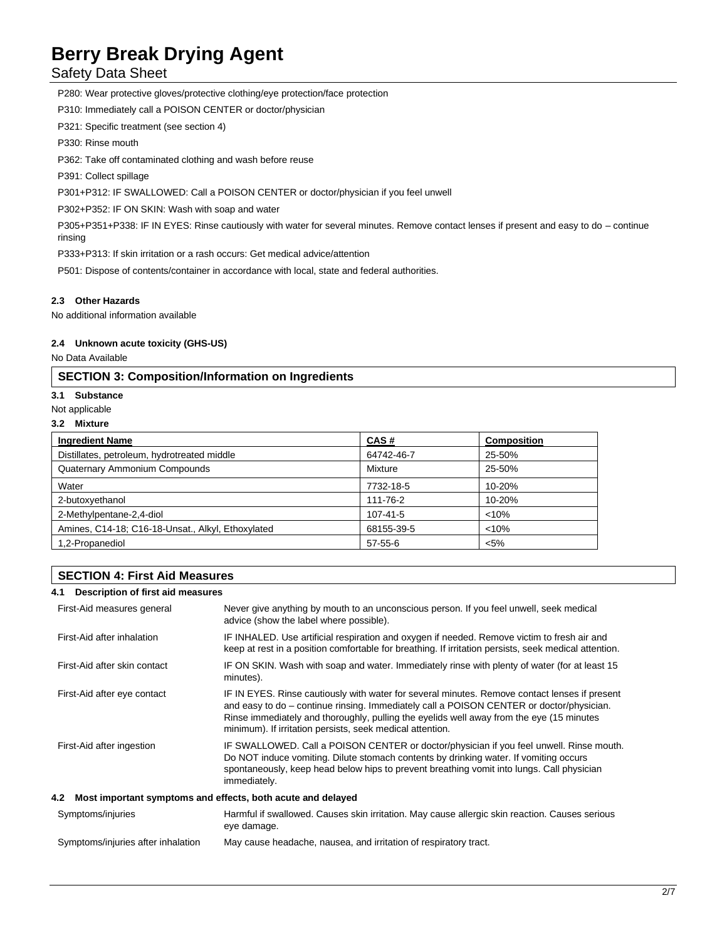Safety Data Sheet

P280: Wear protective gloves/protective clothing/eye protection/face protection

P310: Immediately call a POISON CENTER or doctor/physician

P321: Specific treatment (see section 4)

P330: Rinse mouth

P362: Take off contaminated clothing and wash before reuse

P391: Collect spillage

P301+P312: IF SWALLOWED: Call a POISON CENTER or doctor/physician if you feel unwell

P302+P352: IF ON SKIN: Wash with soap and water

P305+P351+P338: IF IN EYES: Rinse cautiously with water for several minutes. Remove contact lenses if present and easy to do – continue rinsing

P333+P313: If skin irritation or a rash occurs: Get medical advice/attention

P501: Dispose of contents/container in accordance with local, state and federal authorities.

# **2.3 Other Hazards**

No additional information available

# **2.4 Unknown acute toxicity (GHS-US)**

No Data Available

# **SECTION 3: Composition/Information on Ingredients**

# **3.1 Substance**

- Not applicable
- **3.2 Mixture**

| <b>Ingredient Name</b>                            | CAS#          | <b>Composition</b> |
|---------------------------------------------------|---------------|--------------------|
| Distillates, petroleum, hydrotreated middle       | 64742-46-7    | 25-50%             |
| Quaternary Ammonium Compounds                     | Mixture       | 25-50%             |
| Water                                             | 7732-18-5     | 10-20%             |
| 2-butoxyethanol                                   | 111-76-2      | 10-20%             |
| 2-Methylpentane-2,4-diol                          | 107-41-5      | < 10%              |
| Amines, C14-18; C16-18-Unsat., Alkyl, Ethoxylated | 68155-39-5    | < 10%              |
| 1,2-Propanediol                                   | $57 - 55 - 6$ | $< 5\%$            |

# **SECTION 4: First Aid Measures**

# **4.1 Description of first aid measures**

| First-Aid measures general                                      | Never give anything by mouth to an unconscious person. If you feel unwell, seek medical<br>advice (show the label where possible).                                                                                                                                                                                                                 |  |  |  |
|-----------------------------------------------------------------|----------------------------------------------------------------------------------------------------------------------------------------------------------------------------------------------------------------------------------------------------------------------------------------------------------------------------------------------------|--|--|--|
| First-Aid after inhalation                                      | IF INHALED. Use artificial respiration and oxygen if needed. Remove victim to fresh air and<br>keep at rest in a position comfortable for breathing. If irritation persists, seek medical attention.                                                                                                                                               |  |  |  |
| First-Aid after skin contact                                    | IF ON SKIN. Wash with soap and water. Immediately rinse with plenty of water (for at least 15<br>minutes).                                                                                                                                                                                                                                         |  |  |  |
| First-Aid after eye contact                                     | IF IN EYES. Rinse cautiously with water for several minutes. Remove contact lenses if present<br>and easy to do – continue rinsing. Immediately call a POISON CENTER or doctor/physician.<br>Rinse immediately and thoroughly, pulling the eyelids well away from the eye (15 minutes<br>minimum). If irritation persists, seek medical attention. |  |  |  |
| First-Aid after ingestion                                       | IF SWALLOWED. Call a POISON CENTER or doctor/physician if you feel unwell. Rinse mouth.<br>Do NOT induce vomiting. Dilute stomach contents by drinking water. If vomiting occurs<br>spontaneously, keep head below hips to prevent breathing vomit into lungs. Call physician<br>immediately.                                                      |  |  |  |
| 4.2 Most important symptoms and effects, both acute and delayed |                                                                                                                                                                                                                                                                                                                                                    |  |  |  |
| Symptoms/injuries                                               | Harmful if swallowed. Causes skin irritation. May cause allergic skin reaction. Causes serious<br>eye damage.                                                                                                                                                                                                                                      |  |  |  |
| Symptoms/injuries after inhalation                              | May cause headache, nausea, and irritation of respiratory tract.                                                                                                                                                                                                                                                                                   |  |  |  |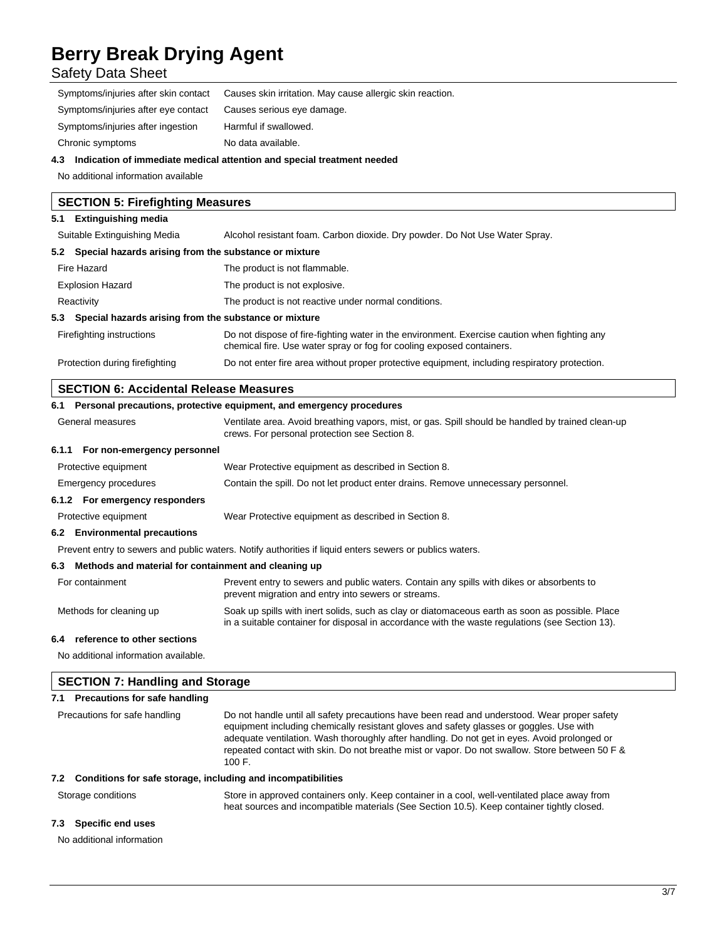Safety Data Sheet

| Causes skin irritation. May cause allergic skin reaction. |
|-----------------------------------------------------------|
| Causes serious eye damage.                                |
| Harmful if swallowed.                                     |
| No data available.                                        |
|                                                           |

# **4.3 Indication of immediate medical attention and special treatment needed**

No additional information available

| <b>SECTION 5: Firefighting Measures</b>                   |                                                                                                                                                                       |  |  |
|-----------------------------------------------------------|-----------------------------------------------------------------------------------------------------------------------------------------------------------------------|--|--|
| <b>Extinguishing media</b><br>5.1                         |                                                                                                                                                                       |  |  |
| Suitable Extinguishing Media                              | Alcohol resistant foam. Carbon dioxide. Dry powder. Do Not Use Water Spray.                                                                                           |  |  |
| 5.2 Special hazards arising from the substance or mixture |                                                                                                                                                                       |  |  |
| Fire Hazard                                               | The product is not flammable.                                                                                                                                         |  |  |
| <b>Explosion Hazard</b>                                   | The product is not explosive.                                                                                                                                         |  |  |
| Reactivity                                                | The product is not reactive under normal conditions.                                                                                                                  |  |  |
| 5.3 Special hazards arising from the substance or mixture |                                                                                                                                                                       |  |  |
| Firefighting instructions                                 | Do not dispose of fire-fighting water in the environment. Exercise caution when fighting any<br>chemical fire. Use water spray or fog for cooling exposed containers. |  |  |
| Protection during firefighting                            | Do not enter fire area without proper protective equipment, including respiratory protection.                                                                         |  |  |

# **SECTION 6: Accidental Release Measures**

|                  | 6.1 Personal precautions, protective equipment, and emergency procedures |                                                                                                                                                                                                    |  |
|------------------|--------------------------------------------------------------------------|----------------------------------------------------------------------------------------------------------------------------------------------------------------------------------------------------|--|
| General measures |                                                                          | Ventilate area. Avoid breathing vapors, mist, or gas. Spill should be handled by trained clean-up<br>crews. For personal protection see Section 8.                                                 |  |
|                  | 6.1.1 For non-emergency personnel                                        |                                                                                                                                                                                                    |  |
|                  | Protective equipment                                                     | Wear Protective equipment as described in Section 8.                                                                                                                                               |  |
|                  | Emergency procedures                                                     | Contain the spill. Do not let product enter drains. Remove unnecessary personnel.                                                                                                                  |  |
|                  | 6.1.2 For emergency responders                                           |                                                                                                                                                                                                    |  |
|                  | Protective equipment                                                     | Wear Protective equipment as described in Section 8.                                                                                                                                               |  |
|                  | 6.2 Environmental precautions                                            |                                                                                                                                                                                                    |  |
|                  |                                                                          | Prevent entry to sewers and public waters. Notify authorities if liquid enters sewers or publics waters.                                                                                           |  |
|                  | 6.3 Methods and material for containment and cleaning up                 |                                                                                                                                                                                                    |  |
|                  | For containment                                                          | Prevent entry to sewers and public waters. Contain any spills with dikes or absorbents to<br>prevent migration and entry into sewers or streams.                                                   |  |
|                  | Methods for cleaning up                                                  | Soak up spills with inert solids, such as clay or diatomaceous earth as soon as possible. Place<br>in a suitable container for disposal in accordance with the waste regulations (see Section 13). |  |

#### **6.4 reference to other sections**

No additional information available.

| <b>SECTION 7: Handling and Storage</b> |                                                                     |                                                                                                                                                                                                                                                                                                                                                                                                     |  |
|----------------------------------------|---------------------------------------------------------------------|-----------------------------------------------------------------------------------------------------------------------------------------------------------------------------------------------------------------------------------------------------------------------------------------------------------------------------------------------------------------------------------------------------|--|
| 7.1                                    | Precautions for safe handling                                       |                                                                                                                                                                                                                                                                                                                                                                                                     |  |
| Precautions for safe handling          |                                                                     | Do not handle until all safety precautions have been read and understood. Wear proper safety<br>equipment including chemically resistant gloves and safety glasses or goggles. Use with<br>adequate ventilation. Wash thoroughly after handling. Do not get in eyes. Avoid prolonged or<br>repeated contact with skin. Do not breathe mist or vapor. Do not swallow. Store between 50 F &<br>100 F. |  |
|                                        | Conditions for safe storage, including and incompatibilities<br>7.2 |                                                                                                                                                                                                                                                                                                                                                                                                     |  |
|                                        | Storage conditions                                                  | Store in approved containers only. Keep container in a cool, well-ventilated place away from<br>heat sources and incompatible materials (See Section 10.5). Keep container tightly closed.                                                                                                                                                                                                          |  |
| 7.3                                    | Specific end uses                                                   |                                                                                                                                                                                                                                                                                                                                                                                                     |  |

No additional information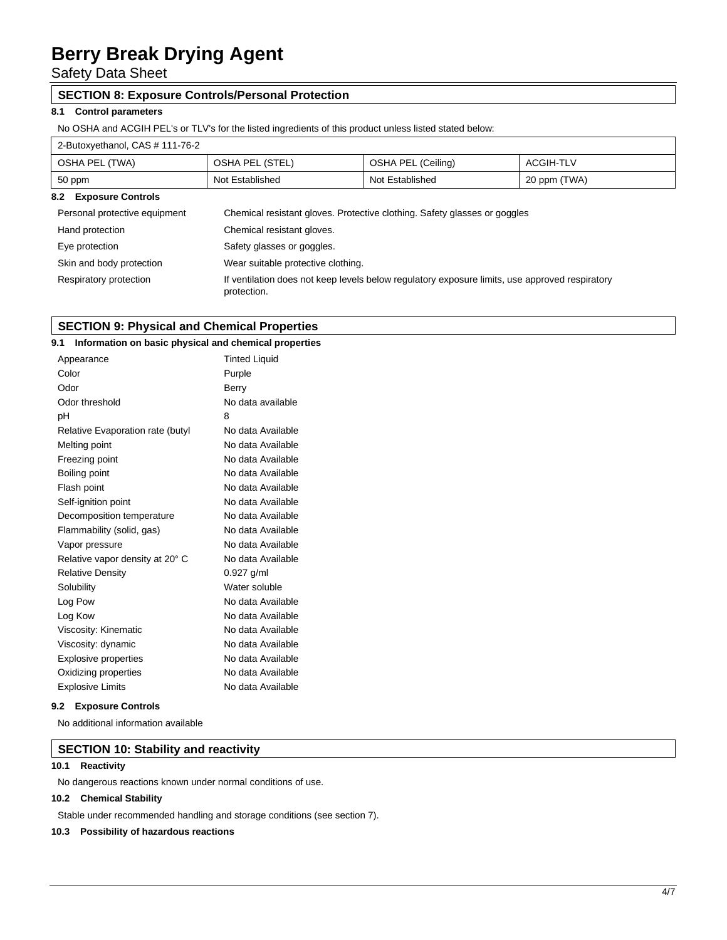Safety Data Sheet

# **SECTION 8: Exposure Controls/Personal Protection**

# **8.1 Control parameters**

No OSHA and ACGIH PEL's or TLV's for the listed ingredients of this product unless listed stated below:

# 2-Butoxyethanol, CAS # 111-76-2

| OSHA PEL (TWA)                                                                                                                          | OSHA PEL (STEL)                                                           | OSHA PEL (Ceiling) | <b>ACGIH-TLV</b> |  |
|-----------------------------------------------------------------------------------------------------------------------------------------|---------------------------------------------------------------------------|--------------------|------------------|--|
| 50 ppm                                                                                                                                  | Not Established                                                           | Not Established    | 20 ppm (TWA)     |  |
| <b>Exposure Controls</b><br>8.2                                                                                                         |                                                                           |                    |                  |  |
| Personal protective equipment                                                                                                           | Chemical resistant gloves. Protective clothing. Safety glasses or goggles |                    |                  |  |
| Hand protection                                                                                                                         | Chemical resistant gloves.                                                |                    |                  |  |
| Eye protection                                                                                                                          | Safety glasses or goggles.                                                |                    |                  |  |
| Skin and body protection<br>Wear suitable protective clothing.                                                                          |                                                                           |                    |                  |  |
| If ventilation does not keep levels below regulatory exposure limits, use approved respiratory<br>Respiratory protection<br>protection. |                                                                           |                    |                  |  |

# **SECTION 9: Physical and Chemical Properties**

| 9.1<br>Information on basic physical and chemical properties |                   |
|--------------------------------------------------------------|-------------------|
| Appearance                                                   |                   |
| Color                                                        | Purple            |
| Odor                                                         | Berry             |
| Odor threshold                                               | No data available |
| рH                                                           | 8                 |
| Relative Evaporation rate (butyl                             | No data Available |
| Melting point                                                | No data Available |
| Freezing point                                               | No data Available |
| Boiling point                                                | No data Available |
| Flash point                                                  | No data Available |
| Self-ignition point                                          | No data Available |
| Decomposition temperature                                    | No data Available |
| Flammability (solid, gas)                                    | No data Available |
| Vapor pressure                                               | No data Available |
| Relative vapor density at 20° C                              | No data Available |
| <b>Relative Density</b>                                      | $0.927$ g/ml      |
| Solubility                                                   | Water soluble     |
| Log Pow                                                      | No data Available |
| Log Kow                                                      | No data Available |
| Viscosity: Kinematic                                         | No data Available |
| Viscosity: dynamic                                           | No data Available |
| Explosive properties                                         | No data Available |
| Oxidizing properties                                         | No data Available |
| <b>Explosive Limits</b>                                      | No data Available |

### **9.2 Exposure Controls**

No additional information available

# **SECTION 10: Stability and reactivity**

### **10.1 Reactivity**

No dangerous reactions known under normal conditions of use.

# **10.2 Chemical Stability**

Stable under recommended handling and storage conditions (see section 7).

#### **10.3 Possibility of hazardous reactions**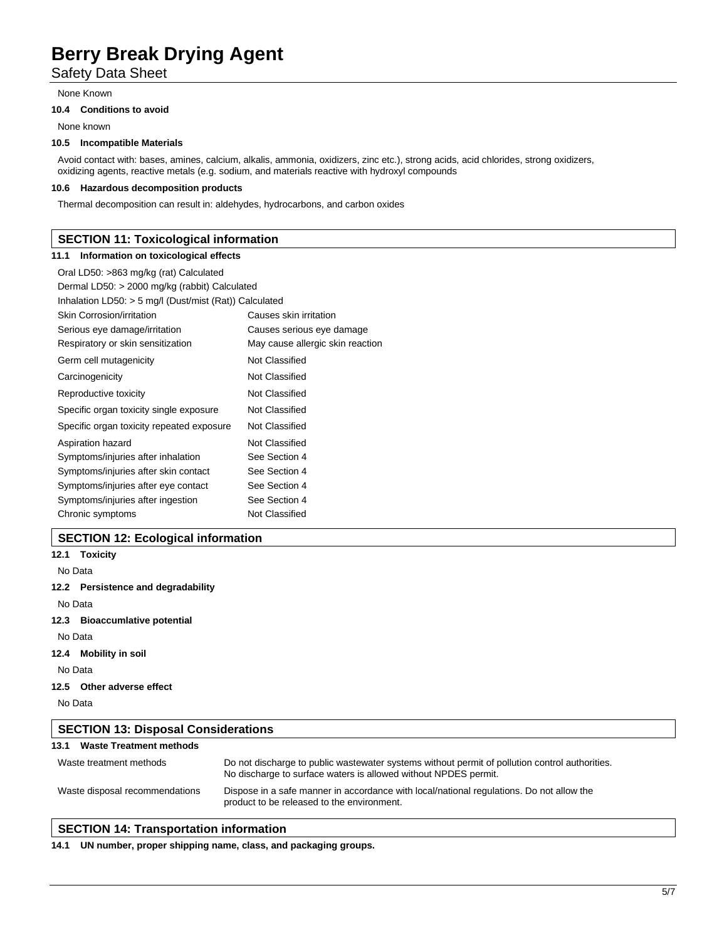Safety Data Sheet

None Known

### **10.4 Conditions to avoid**

None known

# **10.5 Incompatible Materials**

Avoid contact with: bases, amines, calcium, alkalis, ammonia, oxidizers, zinc etc.), strong acids, acid chlorides, strong oxidizers, oxidizing agents, reactive metals (e.g. sodium, and materials reactive with hydroxyl compounds

# **10.6 Hazardous decomposition products**

Thermal decomposition can result in: aldehydes, hydrocarbons, and carbon oxides

# **SECTION 11: Toxicological information**

#### **11.1 Information on toxicological effects**

| Oral LD50: >863 mg/kg (rat) Calculated                   |                                  |  |  |
|----------------------------------------------------------|----------------------------------|--|--|
| Dermal LD50: > 2000 mg/kg (rabbit) Calculated            |                                  |  |  |
| Inhalation LD50: $>$ 5 mg/l (Dust/mist (Rat)) Calculated |                                  |  |  |
| Skin Corrosion/irritation                                | Causes skin irritation           |  |  |
| Serious eye damage/irritation                            | Causes serious eye damage        |  |  |
| Respiratory or skin sensitization                        | May cause allergic skin reaction |  |  |
| Germ cell mutagenicity                                   | Not Classified                   |  |  |
| Carcinogenicity                                          | Not Classified                   |  |  |
| Reproductive toxicity                                    | Not Classified                   |  |  |
| Specific organ toxicity single exposure                  | Not Classified                   |  |  |
| Specific organ toxicity repeated exposure                | Not Classified                   |  |  |
| Aspiration hazard                                        | Not Classified                   |  |  |
| Symptoms/injuries after inhalation                       | See Section 4                    |  |  |
| Symptoms/injuries after skin contact                     | See Section 4                    |  |  |
| Symptoms/injuries after eye contact                      | See Section 4                    |  |  |
| Symptoms/injuries after ingestion                        | See Section 4                    |  |  |
| Chronic symptoms                                         | Not Classified                   |  |  |

# **SECTION 12: Ecological information**

|         | 12.1 Toxicity                              |                                                                                                                                                                    |  |  |  |
|---------|--------------------------------------------|--------------------------------------------------------------------------------------------------------------------------------------------------------------------|--|--|--|
|         | No Data                                    |                                                                                                                                                                    |  |  |  |
|         | 12.2 Persistence and degradability         |                                                                                                                                                                    |  |  |  |
| No Data |                                            |                                                                                                                                                                    |  |  |  |
|         | 12.3 Bioaccumlative potential              |                                                                                                                                                                    |  |  |  |
| No Data |                                            |                                                                                                                                                                    |  |  |  |
|         | 12.4 Mobility in soil                      |                                                                                                                                                                    |  |  |  |
| No Data |                                            |                                                                                                                                                                    |  |  |  |
|         | 12.5 Other adverse effect                  |                                                                                                                                                                    |  |  |  |
| No Data |                                            |                                                                                                                                                                    |  |  |  |
|         | <b>SECTION 13: Disposal Considerations</b> |                                                                                                                                                                    |  |  |  |
| 13.1    | <b>Waste Treatment methods</b>             |                                                                                                                                                                    |  |  |  |
|         | Waste treatment methods                    | Do not discharge to public was tewater systems without permit of pollution control authorities.<br>No discharge to surface waters is allowed without NPDES permit. |  |  |  |

#### Waste disposal recommendations Dispose in a safe manner in accordance with local/national regulations. Do not allow the product to be released to the environment.

# **SECTION 14: Transportation information**

**14.1 UN number, proper shipping name, class, and packaging groups.**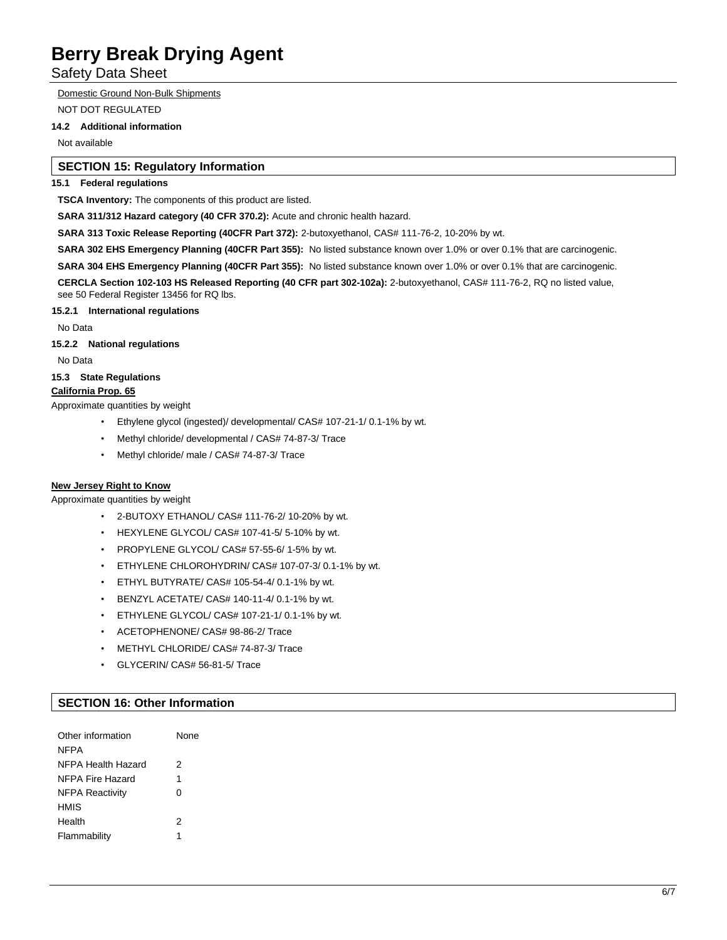Safety Data Sheet

Domestic Ground Non-Bulk Shipments

NOT DOT REGULATED

# **14.2 Additional information**

Not available

# **SECTION 15: Regulatory Information**

# **15.1 Federal regulations**

**TSCA Inventory:** The components of this product are listed.

**SARA 311/312 Hazard category (40 CFR 370.2):** Acute and chronic health hazard.

**SARA 313 Toxic Release Reporting (40CFR Part 372):** 2-butoxyethanol, CAS# 111-76-2, 10-20% by wt.

**SARA 302 EHS Emergency Planning (40CFR Part 355):** No listed substance known over 1.0% or over 0.1% that are carcinogenic.

**SARA 304 EHS Emergency Planning (40CFR Part 355):** No listed substance known over 1.0% or over 0.1% that are carcinogenic.

**CERCLA Section 102-103 HS Released Reporting (40 CFR part 302-102a):** 2-butoxyethanol, CAS# 111-76-2, RQ no listed value, see 50 Federal Register 13456 for RQ lbs.

**15.2.1 International regulations**

No Data

**15.2.2 National regulations**

No Data

**15.3 State Regulations**

# **California Prop. 65**

Approximate quantities by weight

- Ethylene glycol (ingested)/ developmental/ CAS# 107-21-1/ 0.1-1% by wt.
- Methyl chloride/ developmental / CAS# 74-87-3/ Trace
- Methyl chloride/ male / CAS# 74-87-3/ Trace

# **New Jersey Right to Know**

Approximate quantities by weight

- 2-BUTOXY ETHANOL/ CAS# 111-76-2/ 10-20% by wt.
- HEXYLENE GLYCOL/ CAS# 107-41-5/ 5-10% by wt.
- PROPYLENE GLYCOL/ CAS# 57-55-6/ 1-5% by wt.
- ETHYLENE CHLOROHYDRIN/ CAS# 107-07-3/ 0.1-1% by wt.
- ETHYL BUTYRATE/ CAS# 105-54-4/ 0.1-1% by wt.
- BENZYL ACETATE/ CAS# 140-11-4/ 0.1-1% by wt.
- ETHYLENE GLYCOL/ CAS# 107-21-1/ 0.1-1% by wt.
- ACETOPHENONE/ CAS# 98-86-2/ Trace
- METHYL CHLORIDE/ CAS# 74-87-3/ Trace
- GLYCERIN/ CAS# 56-81-5/ Trace

# **SECTION 16: Other Information**

| Other information      | None |
|------------------------|------|
| <b>NFPA</b>            |      |
| NFPA Health Hazard     | 2    |
| NFPA Fire Hazard       | 1    |
| <b>NFPA Reactivity</b> | ∩    |
| <b>HMIS</b>            |      |
| Health                 | 2    |
| Flammability           | 1    |